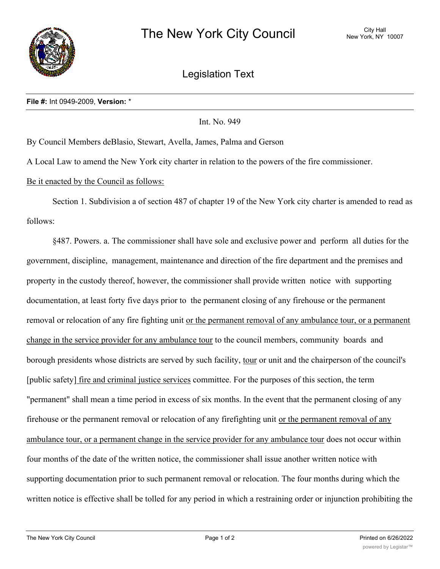

Legislation Text

Int. No. 949

By Council Members deBlasio, Stewart, Avella, James, Palma and Gerson

A Local Law to amend the New York city charter in relation to the powers of the fire commissioner.

## Be it enacted by the Council as follows:

Section 1. Subdivision a of section 487 of chapter 19 of the New York city charter is amended to read as follows:

§487. Powers. a. The commissioner shall have sole and exclusive power and perform all duties for the government, discipline, management, maintenance and direction of the fire department and the premises and property in the custody thereof, however, the commissioner shall provide written notice with supporting documentation, at least forty five days prior to the permanent closing of any firehouse or the permanent removal or relocation of any fire fighting unit or the permanent removal of any ambulance tour, or a permanent change in the service provider for any ambulance tour to the council members, community boards and borough presidents whose districts are served by such facility, tour or unit and the chairperson of the council's [public safety] fire and criminal justice services committee. For the purposes of this section, the term "permanent" shall mean a time period in excess of six months. In the event that the permanent closing of any firehouse or the permanent removal or relocation of any firefighting unit or the permanent removal of any ambulance tour, or a permanent change in the service provider for any ambulance tour does not occur within four months of the date of the written notice, the commissioner shall issue another written notice with supporting documentation prior to such permanent removal or relocation. The four months during which the written notice is effective shall be tolled for any period in which a restraining order or injunction prohibiting the